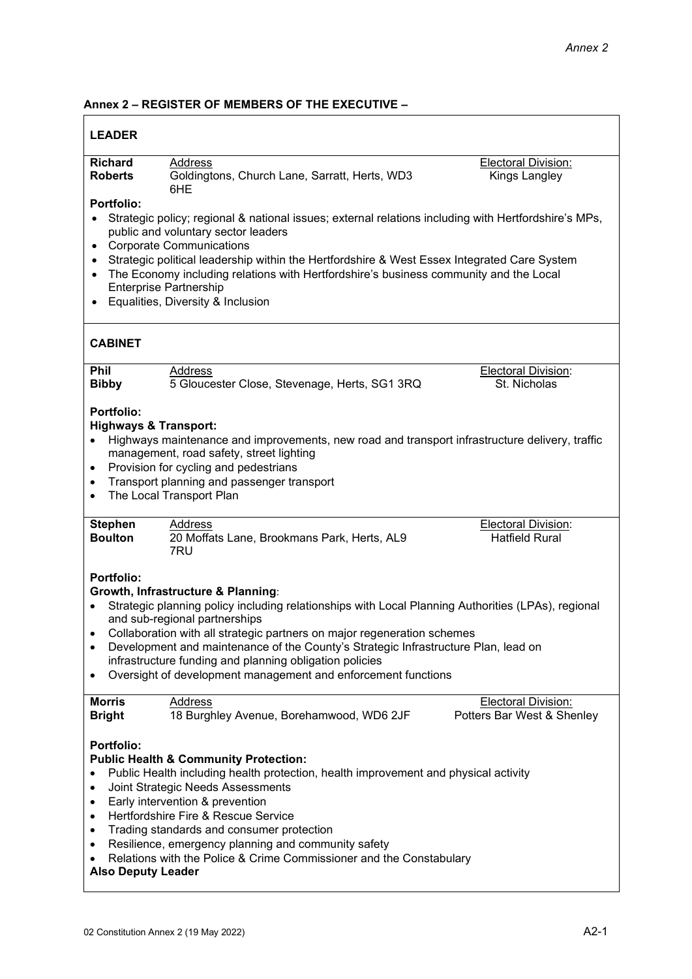## **Annex 2 – REGISTER OF MEMBERS OF THE EXECUTIVE –**

| <b>LEADER</b>                                                                                                                                                                                                                                                                                                                                                                                                                                                                                                                   |                                                                                                                                                                                                                                                               |                                                          |  |
|---------------------------------------------------------------------------------------------------------------------------------------------------------------------------------------------------------------------------------------------------------------------------------------------------------------------------------------------------------------------------------------------------------------------------------------------------------------------------------------------------------------------------------|---------------------------------------------------------------------------------------------------------------------------------------------------------------------------------------------------------------------------------------------------------------|----------------------------------------------------------|--|
| <b>Richard</b><br><b>Roberts</b>                                                                                                                                                                                                                                                                                                                                                                                                                                                                                                | Address<br>Goldingtons, Church Lane, Sarratt, Herts, WD3<br>6HE                                                                                                                                                                                               | Electoral Division:<br>Kings Langley                     |  |
| <b>Portfolio:</b><br>Strategic policy; regional & national issues; external relations including with Hertfordshire's MPs,<br>public and voluntary sector leaders<br><b>Corporate Communications</b><br>$\bullet$<br>Strategic political leadership within the Hertfordshire & West Essex Integrated Care System<br>$\bullet$<br>The Economy including relations with Hertfordshire's business community and the Local<br>$\bullet$<br><b>Enterprise Partnership</b><br>Equalities, Diversity & Inclusion<br>$\bullet$           |                                                                                                                                                                                                                                                               |                                                          |  |
| <b>CABINET</b>                                                                                                                                                                                                                                                                                                                                                                                                                                                                                                                  |                                                                                                                                                                                                                                                               |                                                          |  |
| Phil<br><b>Bibby</b>                                                                                                                                                                                                                                                                                                                                                                                                                                                                                                            | Address<br>5 Gloucester Close, Stevenage, Herts, SG1 3RQ                                                                                                                                                                                                      | <b>Electoral Division:</b><br>St. Nicholas               |  |
| <b>Portfolio:</b><br><b>Highways &amp; Transport:</b><br>$\bullet$<br>$\bullet$<br>$\bullet$<br>$\bullet$                                                                                                                                                                                                                                                                                                                                                                                                                       | Highways maintenance and improvements, new road and transport infrastructure delivery, traffic<br>management, road safety, street lighting<br>Provision for cycling and pedestrians<br>Transport planning and passenger transport<br>The Local Transport Plan |                                                          |  |
| <b>Stephen</b><br><b>Boulton</b>                                                                                                                                                                                                                                                                                                                                                                                                                                                                                                | Address<br>20 Moffats Lane, Brookmans Park, Herts, AL9<br>7RU                                                                                                                                                                                                 | <b>Electoral Division:</b><br><b>Hatfield Rural</b>      |  |
| <b>Portfolio:</b><br>Growth, Infrastructure & Planning:<br>Strategic planning policy including relationships with Local Planning Authorities (LPAs), regional<br>$\bullet$<br>and sub-regional partnerships<br>Collaboration with all strategic partners on major regeneration schemes<br>$\bullet$<br>Development and maintenance of the County's Strategic Infrastructure Plan, lead on<br>infrastructure funding and planning obligation policies<br>Oversight of development management and enforcement functions<br>٠      |                                                                                                                                                                                                                                                               |                                                          |  |
| <b>Morris</b><br><b>Bright</b>                                                                                                                                                                                                                                                                                                                                                                                                                                                                                                  | <b>Address</b><br>18 Burghley Avenue, Borehamwood, WD6 2JF                                                                                                                                                                                                    | <b>Electoral Division:</b><br>Potters Bar West & Shenley |  |
| <b>Portfolio:</b><br><b>Public Health &amp; Community Protection:</b><br>Public Health including health protection, health improvement and physical activity<br>Joint Strategic Needs Assessments<br>Early intervention & prevention<br>٠<br>Hertfordshire Fire & Rescue Service<br>$\bullet$<br>Trading standards and consumer protection<br>$\bullet$<br>Resilience, emergency planning and community safety<br>$\bullet$<br>Relations with the Police & Crime Commissioner and the Constabulary<br><b>Also Deputy Leader</b> |                                                                                                                                                                                                                                                               |                                                          |  |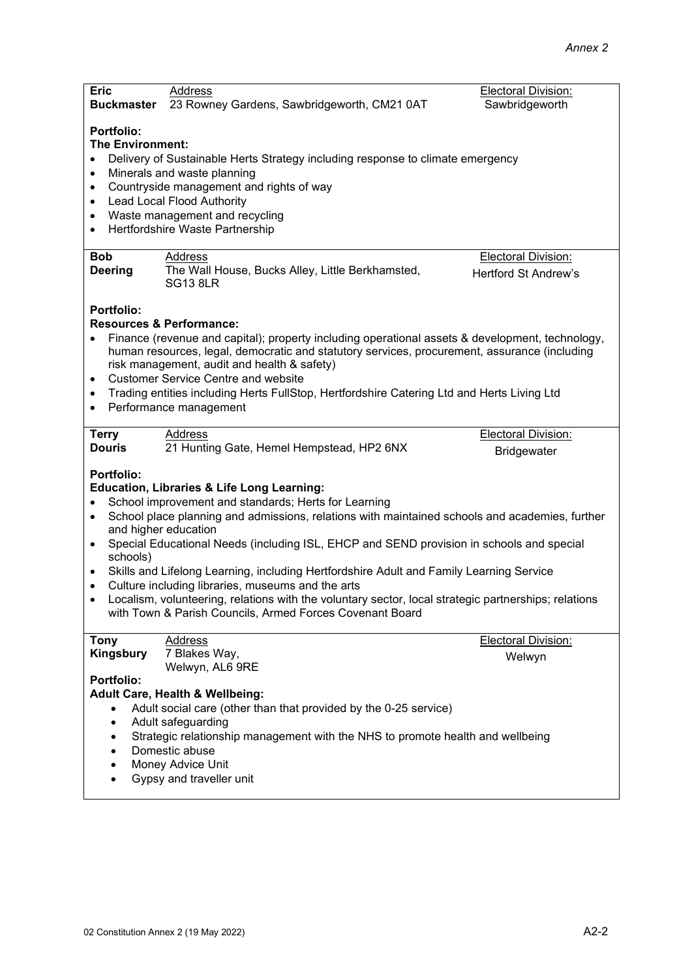| <b>Eric</b><br><b>Buckmaster</b>                                                                                                                                                                                                                                                                                                                                                                                                                                                                                                                                                                                                                                                                                                                          | Address<br>23 Rowney Gardens, Sawbridgeworth, CM21 0AT                                                                                                                                                                                                                                                       | Electoral Division:<br>Sawbridgeworth |
|-----------------------------------------------------------------------------------------------------------------------------------------------------------------------------------------------------------------------------------------------------------------------------------------------------------------------------------------------------------------------------------------------------------------------------------------------------------------------------------------------------------------------------------------------------------------------------------------------------------------------------------------------------------------------------------------------------------------------------------------------------------|--------------------------------------------------------------------------------------------------------------------------------------------------------------------------------------------------------------------------------------------------------------------------------------------------------------|---------------------------------------|
| <b>Portfolio:</b><br><b>The Environment:</b><br>$\bullet$<br>$\bullet$<br>$\bullet$<br>٠<br>$\bullet$<br>$\bullet$<br><b>Bob</b>                                                                                                                                                                                                                                                                                                                                                                                                                                                                                                                                                                                                                          | Delivery of Sustainable Herts Strategy including response to climate emergency<br>Minerals and waste planning<br>Countryside management and rights of way<br>Lead Local Flood Authority<br>Waste management and recycling<br>Hertfordshire Waste Partnership<br>Address                                      | <b>Electoral Division:</b>            |
| <b>Deering</b>                                                                                                                                                                                                                                                                                                                                                                                                                                                                                                                                                                                                                                                                                                                                            | The Wall House, Bucks Alley, Little Berkhamsted,<br><b>SG13 8LR</b>                                                                                                                                                                                                                                          | <b>Hertford St Andrew's</b>           |
| <b>Portfolio:</b><br><b>Resources &amp; Performance:</b><br>Finance (revenue and capital); property including operational assets & development, technology,<br>human resources, legal, democratic and statutory services, procurement, assurance (including<br>risk management, audit and health & safety)<br><b>Customer Service Centre and website</b><br>$\bullet$<br>Trading entities including Herts FullStop, Hertfordshire Catering Ltd and Herts Living Ltd<br>$\bullet$<br>Performance management<br>$\bullet$                                                                                                                                                                                                                                   |                                                                                                                                                                                                                                                                                                              |                                       |
| <b>Terry</b>                                                                                                                                                                                                                                                                                                                                                                                                                                                                                                                                                                                                                                                                                                                                              | Address                                                                                                                                                                                                                                                                                                      | Electoral Division:                   |
| <b>Douris</b>                                                                                                                                                                                                                                                                                                                                                                                                                                                                                                                                                                                                                                                                                                                                             | 21 Hunting Gate, Hemel Hempstead, HP2 6NX                                                                                                                                                                                                                                                                    | <b>Bridgewater</b>                    |
| <b>Portfolio:</b><br><b>Education, Libraries &amp; Life Long Learning:</b><br>School improvement and standards; Herts for Learning<br>$\bullet$<br>School place planning and admissions, relations with maintained schools and academies, further<br>$\bullet$<br>and higher education<br>Special Educational Needs (including ISL, EHCP and SEND provision in schools and special<br>$\bullet$<br>schools)<br>Skills and Lifelong Learning, including Hertfordshire Adult and Family Learning Service<br>$\bullet$<br>Culture including libraries, museums and the arts<br>$\bullet$<br>Localism, volunteering, relations with the voluntary sector, local strategic partnerships; relations<br>with Town & Parish Councils, Armed Forces Covenant Board |                                                                                                                                                                                                                                                                                                              |                                       |
| <b>Tony</b>                                                                                                                                                                                                                                                                                                                                                                                                                                                                                                                                                                                                                                                                                                                                               | Address                                                                                                                                                                                                                                                                                                      | Electoral Division:                   |
| Kingsbury                                                                                                                                                                                                                                                                                                                                                                                                                                                                                                                                                                                                                                                                                                                                                 | 7 Blakes Way,                                                                                                                                                                                                                                                                                                | Welwyn                                |
| Portfolio:<br>$\bullet$<br>$\bullet$<br>$\bullet$<br>$\bullet$<br>$\bullet$<br>$\bullet$                                                                                                                                                                                                                                                                                                                                                                                                                                                                                                                                                                                                                                                                  | Welwyn, AL6 9RE<br><b>Adult Care, Health &amp; Wellbeing:</b><br>Adult social care (other than that provided by the 0-25 service)<br>Adult safeguarding<br>Strategic relationship management with the NHS to promote health and wellbeing<br>Domestic abuse<br>Money Advice Unit<br>Gypsy and traveller unit |                                       |